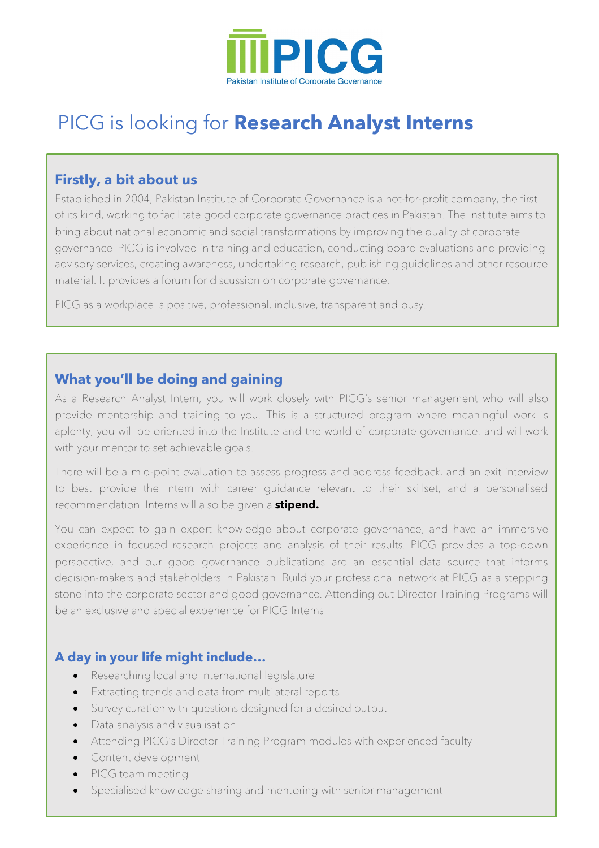

# PICG is looking for **Research Analyst Interns**

#### **Firstly, a bit about us**

Established in 2004, Pakistan Institute of Corporate Governance is a not-for-profit company, the first of its kind, working to facilitate good corporate governance practices in Pakistan. The Institute aims to bring about national economic and social transformations by improving the quality of corporate governance. PICG is involved in training and education, conducting board evaluations and providing advisory services, creating awareness, undertaking research, publishing guidelines and other resource material. It provides a forum for discussion on corporate governance.

PICG as a workplace is positive, professional, inclusive, transparent and busy.

## **What you'll be doing and gaining**

As a Research Analyst Intern, you will work closely with PICG's senior management who will also provide mentorship and training to you. This is a structured program where meaningful work is aplenty; you will be oriented into the Institute and the world of corporate governance, and will work with your mentor to set achievable goals.

There will be a mid-point evaluation to assess progress and address feedback, and an exit interview to best provide the intern with career guidance relevant to their skillset, and a personalised recommendation. Interns will also be given a **stipend.**

You can expect to gain expert knowledge about corporate governance, and have an immersive experience in focused research projects and analysis of their results. PICG provides a top-down perspective, and our good governance publications are an essential data source that informs decision-makers and stakeholders in Pakistan. Build your professional network at PICG as a stepping stone into the corporate sector and good governance. Attending out Director Training Programs will be an exclusive and special experience for PICG Interns.

#### **A day in your life might include…**

- Researching local and international legislature
- Extracting trends and data from multilateral reports
- Survey curation with questions designed for a desired output
- Data analysis and visualisation
- Attending PICG's Director Training Program modules with experienced faculty
- Content development
- PICG team meeting
- Specialised knowledge sharing and mentoring with senior management